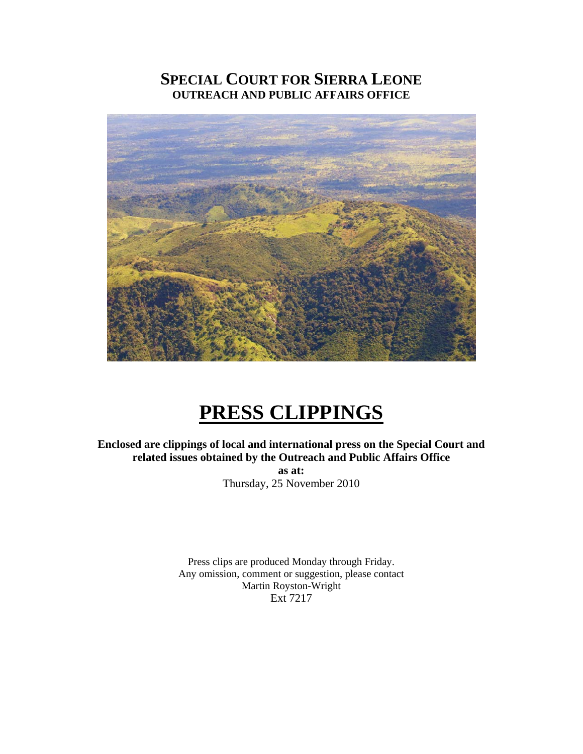### **SPECIAL COURT FOR SIERRA LEONE OUTREACH AND PUBLIC AFFAIRS OFFICE**



## **PRESS CLIPPINGS**

**Enclosed are clippings of local and international press on the Special Court and related issues obtained by the Outreach and Public Affairs Office as at:**  Thursday, 25 November 2010

> Press clips are produced Monday through Friday. Any omission, comment or suggestion, please contact Martin Royston-Wright Ext 7217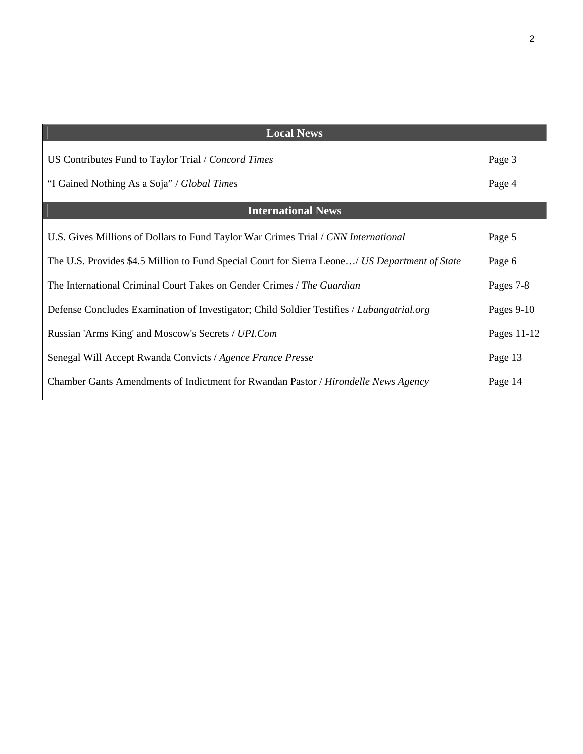| <b>Local News</b>                                                                              |              |
|------------------------------------------------------------------------------------------------|--------------|
| US Contributes Fund to Taylor Trial / Concord Times                                            | Page 3       |
| "I Gained Nothing As a Soja" / Global Times                                                    | Page 4       |
| <b>International News</b>                                                                      |              |
| U.S. Gives Millions of Dollars to Fund Taylor War Crimes Trial / CNN International             | Page 5       |
| The U.S. Provides \$4.5 Million to Fund Special Court for Sierra Leone/ US Department of State | Page 6       |
| The International Criminal Court Takes on Gender Crimes / The Guardian                         | Pages 7-8    |
| Defense Concludes Examination of Investigator; Child Soldier Testifies / Lubangatrial.org      | Pages $9-10$ |
| Russian 'Arms King' and Moscow's Secrets / UPI.Com                                             | Pages 11-12  |
| Senegal Will Accept Rwanda Convicts / Agence France Presse                                     | Page 13      |
| Chamber Gants Amendments of Indictment for Rwandan Pastor / Hirondelle News Agency             | Page 14      |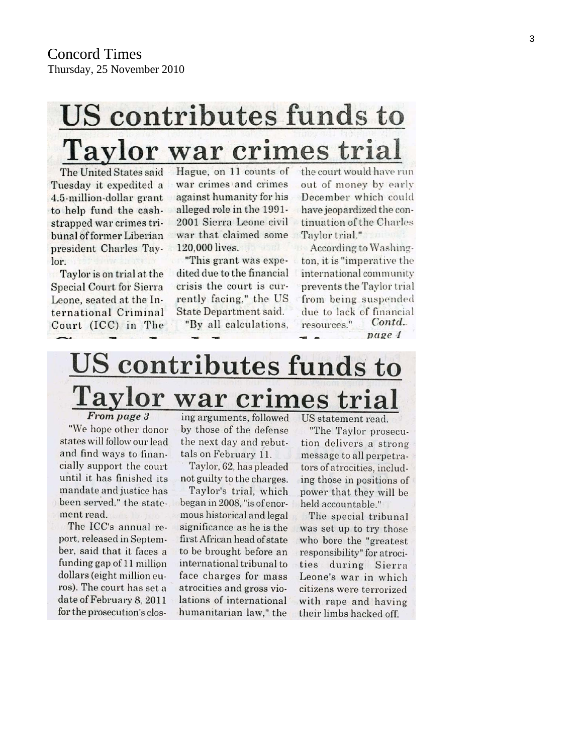# US contributes funds to Taylor war crimes trial

The United States said Tuesday it expedited a 4.5-million-dollar grant to help fund the cashstrapped war crimes tribunal of former Liberian president Charles Taylor.

Taylor is on trial at the **Special Court for Sierra** Leone, seated at the International Criminal Court (ICC) in The

Hague, on 11 counts of war crimes and crimes against humanity for his alleged role in the 1991-2001 Sierra Leone civil war that claimed some 120,000 lives.

"This grant was expedited due to the financial crisis the court is currently facing," the US State Department said. "By all calculations, the court would have run out of money by early December which could have jeopardized the continuation of the Charles Taylor trial."

According to Washington, it is "imperative the international community prevents the Taylor trial from being suspended due to lack of financial Contd. resources." page 4

## US contributes funds to Taylor war crimes trial

From page 3 "We hope other donor states will follow our lead and find ways to financially support the court until it has finished its mandate and justice has been served." the statement read.

The ICC's annual report, released in September, said that it faces a funding gap of 11 million dollars (eight million euros). The court has set a date of February 8, 2011 for the prosecution's closing arguments, followed by those of the defense the next day and rebuttals on February 11.

Taylor, 62, has pleaded not guilty to the charges.

Taylor's trial, which began in 2008, "is of enormous historical and legal significance as he is the first African head of state to be brought before an international tribunal to face charges for mass atrocities and gross violations of international humanitarian law," the

US statement read.

"The Taylor prosecution delivers a strong message to all perpetrators of atrocities, including those in positions of power that they will be held accountable."

The special tribunal was set up to try those who bore the "greatest" responsibility" for atrocities during Sierra Leone's war in which citizens were terrorized with rape and having their limbs hacked off.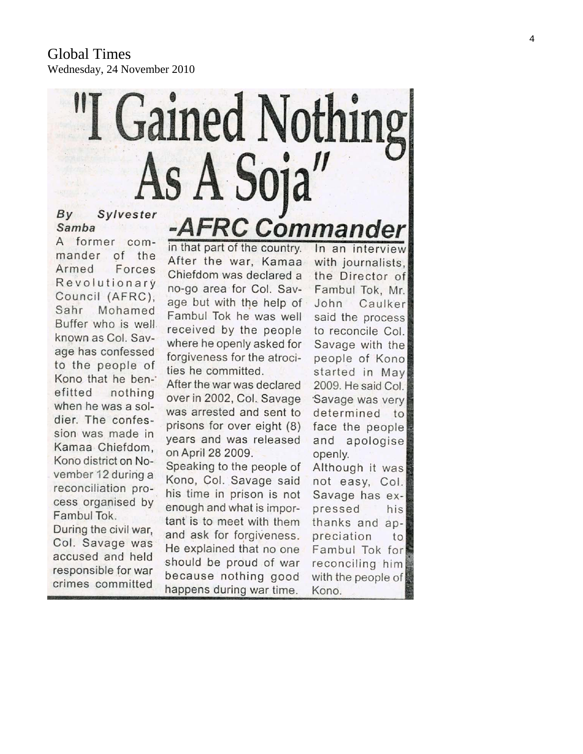# "I Gained Nothing As A Soja Sylvester By -AFRC Commander Samba

A former commander of the Armed Forces Revolutionary Council (AFRC), Sahr Mohamed Buffer who is well. known as Col. Savage has confessed to the people of Kono that he benefitted nothing when he was a soldier. The confession was made in Kamaa Chiefdom, Kono district on November 12 during a reconciliation process organised by Fambul Tok.

During the civil war, Col. Savage was accused and held responsible for war crimes committed

in that part of the country. After the war, Kamaa Chiefdom was declared a no-go area for Col. Savage but with the help of Fambul Tok he was well received by the people where he openly asked for forgiveness for the atrocities he committed.

After the war was declared over in 2002, Col. Savage was arrested and sent to prisons for over eight (8) years and was released on April 28 2009.

Speaking to the people of Kono, Col. Savage said his time in prison is not enough and what is important is to meet with them and ask for forgiveness. He explained that no one should be proud of war because nothing good happens during war time.

In an interview with journalists, the Director of Fambul Tok, Mr. John Caulker said the process to reconcile Col. Savage with the people of Kono started in May 2009. He said Col. Savage was very determined to face the people and apologise openly.

Although it was not easy, Col. Savage has expressed his thanks and appreciation  $\mathfrak{t}$ Fambul Tok for reconciling him with the people of Kono.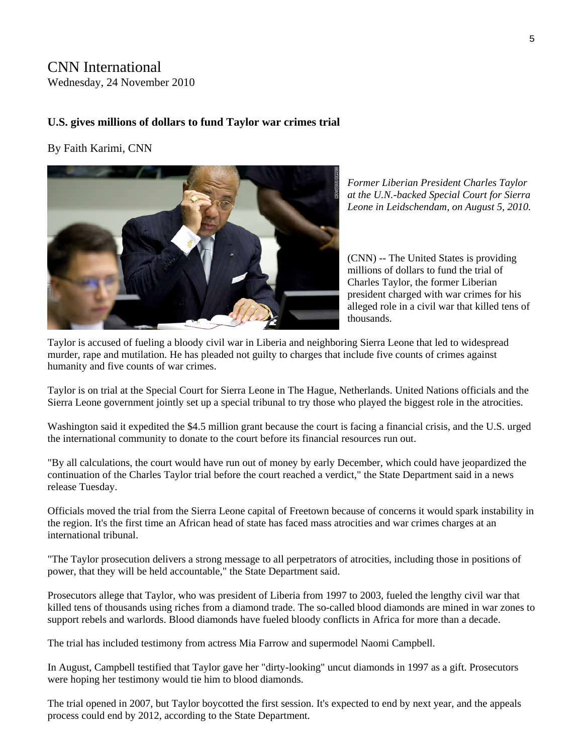#### CNN International

Wednesday, 24 November 2010

#### **U.S. gives millions of dollars to fund Taylor war crimes trial**

#### By Faith Karimi, CNN



*Former Liberian President Charles Taylor at the U.N.-backed Special Court for Sierra Leone in Leidschendam, on August 5, 2010.* 

(CNN) -- The United States is providing millions of dollars to fund the trial of Charles Taylor, the former Liberian president charged with war crimes for his alleged role in a civil war that killed tens of thousands.

Taylor is accused of fueling a bloody civil war in Liberia and neighboring Sierra Leone that led to widespread murder, rape and mutilation. He has pleaded not guilty to charges that include five counts of crimes against humanity and five counts of war crimes.

Taylor is on trial at the Special Court for Sierra Leone in The Hague, Netherlands. United Nations officials and the Sierra Leone government jointly set up a special tribunal to try those who played the biggest role in the atrocities.

Washington said it expedited the \$4.5 million grant because the court is facing a financial crisis, and the U.S. urged the international community to donate to the court before its financial resources run out.

"By all calculations, the court would have run out of money by early December, which could have jeopardized the continuation of the Charles Taylor trial before the court reached a verdict," the State Department said in a news release Tuesday.

Officials moved the trial from the Sierra Leone capital of Freetown because of concerns it would spark instability in the region. It's the first time an African head of state has faced mass atrocities and war crimes charges at an international tribunal.

"The Taylor prosecution delivers a strong message to all perpetrators of atrocities, including those in positions of power, that they will be held accountable," the State Department said.

Prosecutors allege that Taylor, who was president of Liberia from 1997 to 2003, fueled the lengthy civil war that killed tens of thousands using riches from a diamond trade. The so-called blood diamonds are mined in war zones to support rebels and warlords. Blood diamonds have fueled bloody conflicts in Africa for more than a decade.

The trial has included testimony from actress Mia Farrow and supermodel Naomi Campbell.

In August, Campbell testified that Taylor gave her "dirty-looking" uncut diamonds in 1997 as a gift. Prosecutors were hoping her testimony would tie him to blood diamonds.

The trial opened in 2007, but Taylor boycotted the first session. It's expected to end by next year, and the appeals process could end by 2012, according to the State Department.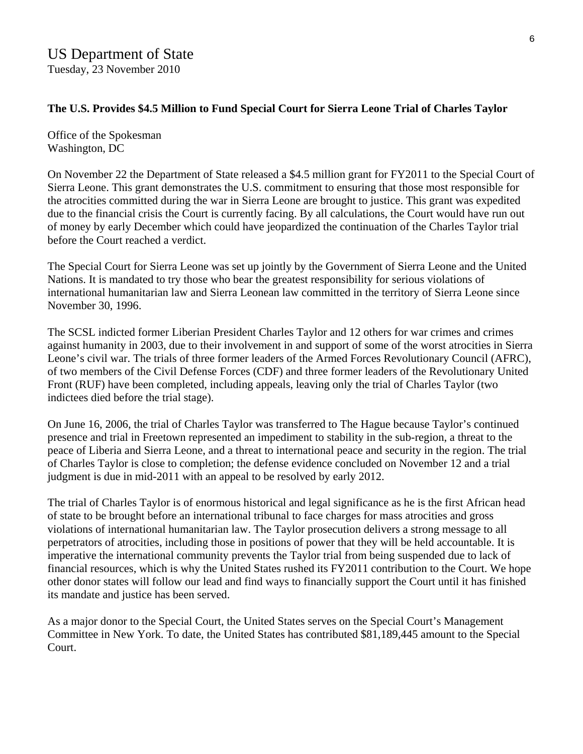#### **The U.S. Provides \$4.5 Million to Fund Special Court for Sierra Leone Trial of Charles Taylor**

Office of the Spokesman Washington, DC

On November 22 the Department of State released a \$4.5 million grant for FY2011 to the Special Court of Sierra Leone. This grant demonstrates the U.S. commitment to ensuring that those most responsible for the atrocities committed during the war in Sierra Leone are brought to justice. This grant was expedited due to the financial crisis the Court is currently facing. By all calculations, the Court would have run out of money by early December which could have jeopardized the continuation of the Charles Taylor trial before the Court reached a verdict.

The Special Court for Sierra Leone was set up jointly by the Government of Sierra Leone and the United Nations. It is mandated to try those who bear the greatest responsibility for serious violations of international humanitarian law and Sierra Leonean law committed in the territory of Sierra Leone since November 30, 1996.

The SCSL indicted former Liberian President Charles Taylor and 12 others for war crimes and crimes against humanity in 2003, due to their involvement in and support of some of the worst atrocities in Sierra Leone's civil war. The trials of three former leaders of the Armed Forces Revolutionary Council (AFRC), of two members of the Civil Defense Forces (CDF) and three former leaders of the Revolutionary United Front (RUF) have been completed, including appeals, leaving only the trial of Charles Taylor (two indictees died before the trial stage).

On June 16, 2006, the trial of Charles Taylor was transferred to The Hague because Taylor's continued presence and trial in Freetown represented an impediment to stability in the sub-region, a threat to the peace of Liberia and Sierra Leone, and a threat to international peace and security in the region. The trial of Charles Taylor is close to completion; the defense evidence concluded on November 12 and a trial judgment is due in mid-2011 with an appeal to be resolved by early 2012.

The trial of Charles Taylor is of enormous historical and legal significance as he is the first African head of state to be brought before an international tribunal to face charges for mass atrocities and gross violations of international humanitarian law. The Taylor prosecution delivers a strong message to all perpetrators of atrocities, including those in positions of power that they will be held accountable. It is imperative the international community prevents the Taylor trial from being suspended due to lack of financial resources, which is why the United States rushed its FY2011 contribution to the Court. We hope other donor states will follow our lead and find ways to financially support the Court until it has finished its mandate and justice has been served.

As a major donor to the Special Court, the United States serves on the Special Court's Management Committee in New York. To date, the United States has contributed \$81,189,445 amount to the Special Court.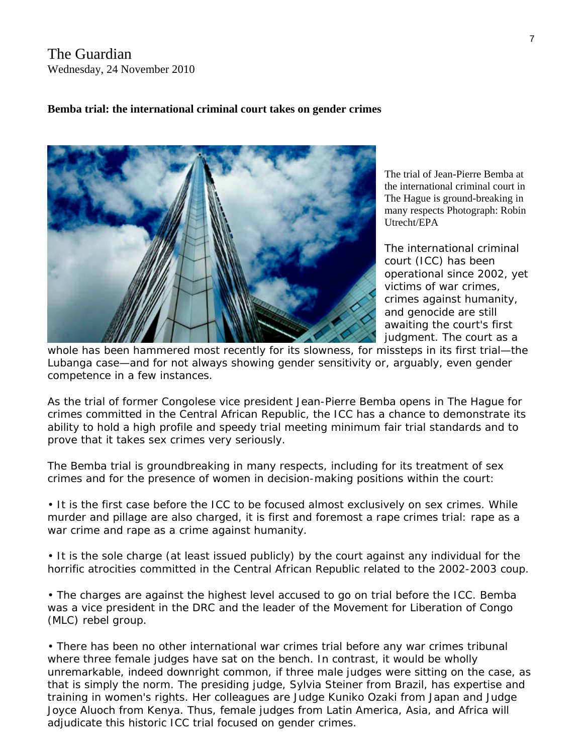The Guardian Wednesday, 24 November 2010

#### **Bemba trial: the international criminal court takes on gender crimes**



The trial of Jean-Pierre Bemba at the international criminal court in The Hague is ground-breaking in many respects Photograph: Robin Utrecht/EPA

The [international criminal](http://www.guardian.co.uk/law/international-criminal-court)  [court](http://www.guardian.co.uk/law/international-criminal-court) (ICC) has been operational since 2002, yet victims of [war crimes,](http://www.guardian.co.uk/law/war-crimes) crimes against humanity, and genocide are still awaiting the court's first judgment. The court as a

whole has been [hammered](http://www.guardian.co.uk/law/2010/jul/15/thomas-lubanga-release-order-hague) most recently for its slowness, for missteps in its [first trial—](http://www.guardian.co.uk/world/2009/jan/26/thomas-lubanga-international-criminal-court)the Lubanga case—and for not always showing gender sensitivity or, arguably, even gender competence in a few instances.

As the trial of former Congolese vice president Jean-Pierre Bemba [opens in The Hague](http://www.guardian.co.uk/world/2010/nov/22/congo-vice-president-trial-war-crimes) for crimes committed in the Central African Republic, the ICC has a chance to demonstrate its ability to hold a high profile and speedy trial meeting minimum fair trial standards and to prove that it takes sex crimes very seriously.

The Bemba trial is groundbreaking in many respects, including for its treatment of sex crimes and for the presence of women in decision-making positions within the court:

• It is the first case before the ICC to be focused almost exclusively on sex crimes. While murder and pillage are also charged, it is first and foremost a [rape](http://www.guardian.co.uk/society/rape) crimes trial: rape as a war crime and rape as a crime against humanity.

• It is the sole charge (at least issued publicly) by the court against any individual for the horrific atrocities committed in the Central African Republic related to the 2002-2003 coup.

• The charges are against the highest level accused to go on trial before the ICC. Bemba was a vice president in the DRC and the leader of the Movement for Liberation of Congo (MLC) rebel group.

• There has been no other international war crimes trial before any war crimes tribunal where three female judges have sat on the bench. In contrast, it would be wholly unremarkable, indeed downright common, if three male judges were sitting on the case, as that is simply the norm. The presiding judge, Sylvia Steiner from Brazil, has expertise and training in women's rights. Her colleagues are Judge Kuniko Ozaki from Japan and Judge Joyce Aluoch from Kenya. Thus, female judges from Latin America, Asia, and Africa will adjudicate this historic ICC trial focused on gender crimes.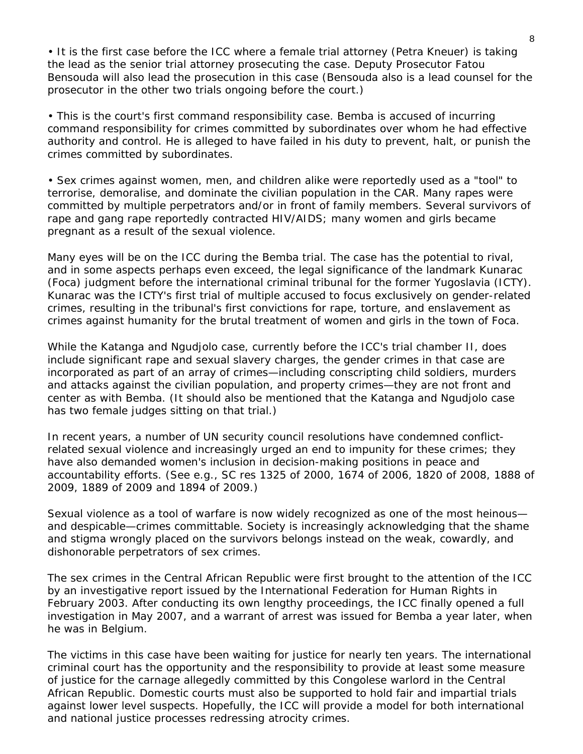• It is the first case before the ICC where a female trial attorney (Petra Kneuer) is taking the lead as the senior trial attorney prosecuting the case. Deputy Prosecutor Fatou Bensouda will also lead the prosecution in this case (Bensouda also is a lead counsel for the prosecutor in the other two trials ongoing before the court.)

• This is the court's first command responsibility case. Bemba is accused of incurring command responsibility for crimes committed by subordinates over whom he had effective authority and control. He is alleged to have failed in his duty to prevent, halt, or punish the crimes committed by subordinates.

• Sex crimes against women, men, and children alike were reportedly used as a "tool" to terrorise, demoralise, and dominate the civilian population in the CAR. Many rapes were committed by multiple perpetrators and/or in front of family members. Several survivors of rape and gang rape reportedly contracted HIV/AIDS; many women and girls became pregnant as a result of the sexual violence.

Many eyes will be on the ICC during the Bemba trial. The case has the potential to rival, and in some aspects perhaps even exceed, the legal significance of the [landmark Kunarac](http://www.guardian.co.uk/world/2001/feb/22/warcrimes)  [\(Foca\) judgment](http://www.guardian.co.uk/world/2001/feb/22/warcrimes) before the international criminal tribunal for the former Yugoslavia (ICTY). Kunarac was the ICTY's first trial of multiple accused to focus exclusively on gender-related crimes, resulting in the tribunal's first convictions for rape, torture, and enslavement as crimes against humanity for the brutal treatment of women and girls in the town of Foca.

While the Katanga and Ngudjolo case, currently before the ICC's trial chamber II, does include significant rape and sexual slavery charges, the gender crimes in that case are incorporated as part of an array of crimes—including conscripting child soldiers, murders and attacks against the civilian population, and property crimes—they are not front and center as with Bemba. (It should also be mentioned that the Katanga and Ngudjolo case has two female judges sitting on that trial.)

In recent years, a number of UN security council resolutions have condemned conflictrelated sexual violence and increasingly urged an end to impunity for these crimes; they have also demanded women's inclusion in decision-making positions in peace and accountability efforts. (See e.g., SC res 1325 of 2000, 1674 of 2006, 1820 of 2008, 1888 of 2009, 1889 of 2009 and 1894 of 2009.)

Sexual violence as a tool of warfare is now widely recognized as one of the most heinous and despicable—crimes committable. Society is increasingly acknowledging that the shame and stigma wrongly placed on the survivors belongs instead on the weak, cowardly, and dishonorable perpetrators of sex crimes.

The sex crimes in the Central African Republic were first brought to the attention of the ICC by an investigative report issued by the International Federation for Human Rights in February 2003. After conducting its own lengthy proceedings, the ICC finally opened a full investigation in May 2007, and a warrant of arrest was issued for Bemba a year later, when he was in Belgium.

The victims in this case have been waiting for justice for nearly ten years. The international criminal court has the opportunity and the responsibility to provide at least some measure of justice for the carnage allegedly committed by this Congolese warlord in the Central African Republic. Domestic courts must also be supported to hold fair and impartial trials against lower level suspects. Hopefully, the ICC will provide a model for both international and national justice processes redressing atrocity crimes.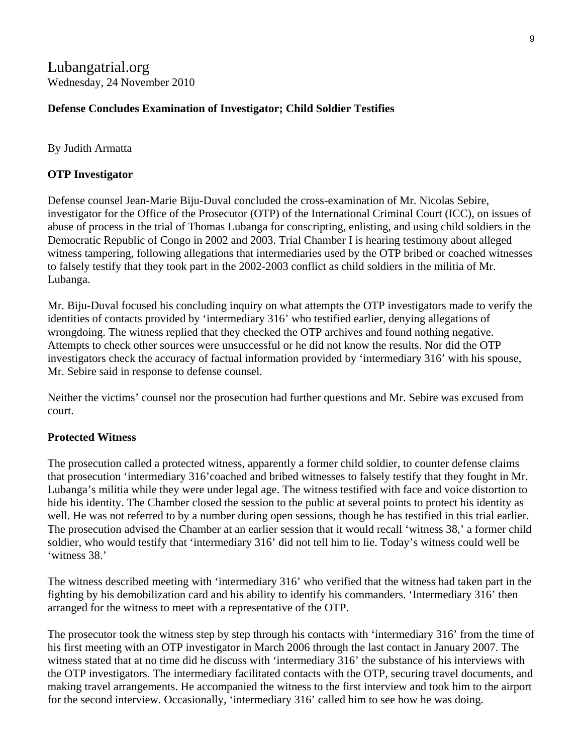#### **Defense Concludes Examination of Investigator; Child Soldier Testifies**

By Judith Armatta

#### **OTP Investigator**

Defense counsel Jean-Marie Biju-Duval concluded the cross-examination of Mr. Nicolas Sebire, investigator for the Office of the Prosecutor (OTP) of the International Criminal Court (ICC), on issues of abuse of process in the trial of Thomas Lubanga for conscripting, enlisting, and using child soldiers in the Democratic Republic of Congo in 2002 and 2003. Trial Chamber I is hearing testimony about alleged witness tampering, following allegations that intermediaries used by the OTP bribed or coached witnesses to falsely testify that they took part in the 2002-2003 conflict as child soldiers in the militia of Mr. Lubanga.

Mr. Biju-Duval focused his concluding inquiry on what attempts the OTP investigators made to verify the identities of contacts provided by 'intermediary 316' who testified earlier, denying allegations of wrongdoing. The witness replied that they checked the OTP archives and found nothing negative. Attempts to check other sources were unsuccessful or he did not know the results. Nor did the OTP investigators check the accuracy of factual information provided by 'intermediary 316' with his spouse, Mr. Sebire said in response to defense counsel.

Neither the victims' counsel nor the prosecution had further questions and Mr. Sebire was excused from court.

#### **Protected Witness**

The prosecution called a protected witness, apparently a former child soldier, to counter defense claims that prosecution 'intermediary 316'coached and bribed witnesses to falsely testify that they fought in Mr. Lubanga's militia while they were under legal age. The witness testified with face and voice distortion to hide his identity. The Chamber closed the session to the public at several points to protect his identity as well. He was not referred to by a number during open sessions, though he has testified in this trial earlier. The prosecution advised the Chamber at an earlier session that it would recall 'witness 38,' a former child soldier, who would testify that 'intermediary 316' did not tell him to lie. Today's witness could well be 'witness 38.'

The witness described meeting with 'intermediary 316' who verified that the witness had taken part in the fighting by his demobilization card and his ability to identify his commanders. 'Intermediary 316' then arranged for the witness to meet with a representative of the OTP.

The prosecutor took the witness step by step through his contacts with 'intermediary 316' from the time of his first meeting with an OTP investigator in March 2006 through the last contact in January 2007. The witness stated that at no time did he discuss with 'intermediary 316' the substance of his interviews with the OTP investigators. The intermediary facilitated contacts with the OTP, securing travel documents, and making travel arrangements. He accompanied the witness to the first interview and took him to the airport for the second interview. Occasionally, 'intermediary 316' called him to see how he was doing.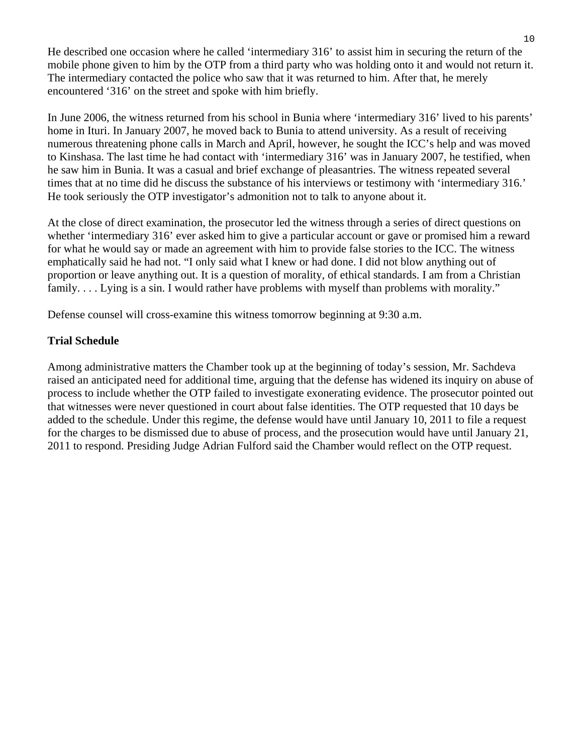He described one occasion where he called 'intermediary 316' to assist him in securing the return of the mobile phone given to him by the OTP from a third party who was holding onto it and would not return it. The intermediary contacted the police who saw that it was returned to him. After that, he merely encountered '316' on the street and spoke with him briefly.

In June 2006, the witness returned from his school in Bunia where 'intermediary 316' lived to his parents' home in Ituri. In January 2007, he moved back to Bunia to attend university. As a result of receiving numerous threatening phone calls in March and April, however, he sought the ICC's help and was moved to Kinshasa. The last time he had contact with 'intermediary 316' was in January 2007, he testified, when he saw him in Bunia. It was a casual and brief exchange of pleasantries. The witness repeated several times that at no time did he discuss the substance of his interviews or testimony with 'intermediary 316.' He took seriously the OTP investigator's admonition not to talk to anyone about it.

At the close of direct examination, the prosecutor led the witness through a series of direct questions on whether 'intermediary 316' ever asked him to give a particular account or gave or promised him a reward for what he would say or made an agreement with him to provide false stories to the ICC. The witness emphatically said he had not. "I only said what I knew or had done. I did not blow anything out of proportion or leave anything out. It is a question of morality, of ethical standards. I am from a Christian family.... Lying is a sin. I would rather have problems with myself than problems with morality."

Defense counsel will cross-examine this witness tomorrow beginning at 9:30 a.m.

#### **Trial Schedule**

Among administrative matters the Chamber took up at the beginning of today's session, Mr. Sachdeva raised an anticipated need for additional time, arguing that the defense has widened its inquiry on abuse of process to include whether the OTP failed to investigate exonerating evidence. The prosecutor pointed out that witnesses were never questioned in court about false identities. The OTP requested that 10 days be added to the schedule. Under this regime, the defense would have until January 10, 2011 to file a request for the charges to be dismissed due to abuse of process, and the prosecution would have until January 21, 2011 to respond. Presiding Judge Adrian Fulford said the Chamber would reflect on the OTP request.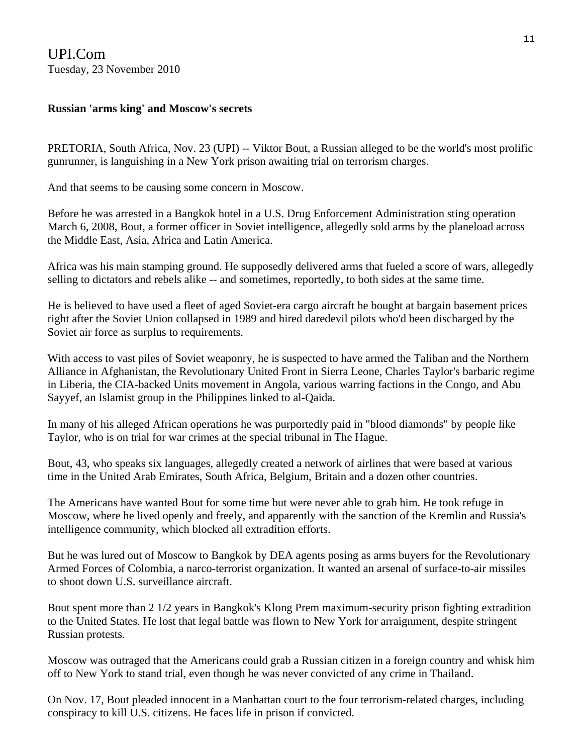#### **Russian 'arms king' and Moscow's secrets**

PRETORIA, South Africa, Nov. 23 (UPI) -- Viktor Bout, a Russian alleged to be the world's most prolific gunrunner, is languishing in a New York prison awaiting trial on terrorism charges.

And that seems to be causing some concern in Moscow.

Before he was arrested in a Bangkok hotel in a U.S. Drug Enforcement Administration sting operation March 6, 2008, Bout, a former officer in Soviet intelligence, allegedly sold arms by the planeload across the Middle East, Asia, Africa and Latin America.

Africa was his main stamping ground. He supposedly delivered arms that fueled a score of wars, allegedly selling to dictators and rebels alike -- and sometimes, reportedly, to both sides at the same time.

He is believed to have used a fleet of aged Soviet-era cargo aircraft he bought at bargain basement prices right after the Soviet Union collapsed in 1989 and hired daredevil pilots who'd been discharged by the Soviet air force as surplus to requirements.

With access to vast piles of Soviet weaponry, he is suspected to have armed the Taliban and the Northern Alliance in Afghanistan, the Revolutionary United Front in Sierra Leone, Charles Taylor's barbaric regime in Liberia, the CIA-backed Units movement in Angola, various warring factions in the Congo, and Abu Sayyef, an Islamist group in the Philippines linked to al-Qaida.

In many of his alleged African operations he was purportedly paid in "blood diamonds" by people like Taylor, who is on trial for war crimes at the special tribunal in The Hague.

Bout, 43, who speaks six languages, allegedly created a network of airlines that were based at various time in the United Arab Emirates, South Africa, Belgium, Britain and a dozen other countries.

The Americans have wanted Bout for some time but were never able to grab him. He took refuge in Moscow, where he lived openly and freely, and apparently with the sanction of the Kremlin and Russia's intelligence community, which blocked all extradition efforts.

But he was lured out of Moscow to Bangkok by DEA agents posing as arms buyers for the Revolutionary Armed Forces of Colombia, a narco-terrorist organization. It wanted an arsenal of surface-to-air missiles to shoot down U.S. surveillance aircraft.

Bout spent more than 2 1/2 years in Bangkok's Klong Prem maximum-security prison fighting extradition to the United States. He lost that legal battle was flown to New York for arraignment, despite stringent Russian protests.

Moscow was outraged that the Americans could grab a Russian citizen in a foreign country and whisk him off to New York to stand trial, even though he was never convicted of any crime in Thailand.

On Nov. 17, Bout pleaded innocent in a Manhattan court to the four terrorism-related charges, including conspiracy to kill U.S. citizens. He faces life in prison if convicted.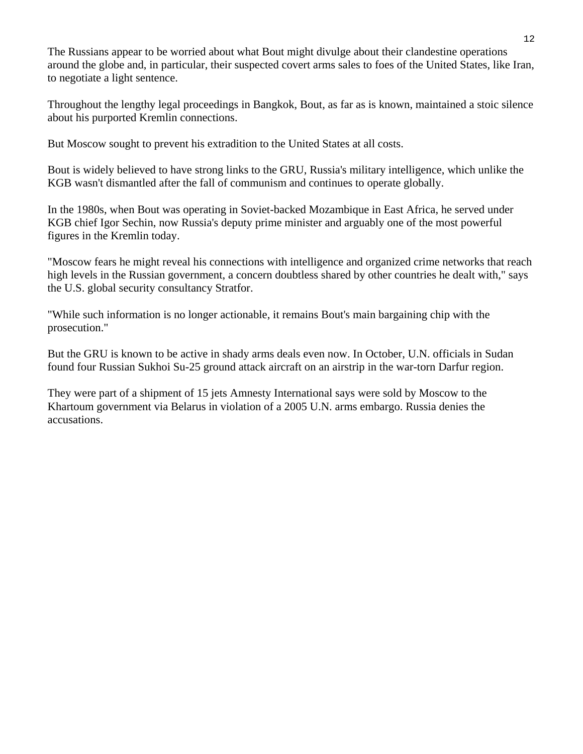The Russians appear to be worried about what Bout might divulge about their clandestine operations around the globe and, in particular, their suspected covert arms sales to foes of the United States, like Iran, to negotiate a light sentence.

Throughout the lengthy legal proceedings in Bangkok, Bout, as far as is known, maintained a stoic silence about his purported Kremlin connections.

But Moscow sought to prevent his extradition to the United States at all costs.

Bout is widely believed to have strong links to the GRU, Russia's military intelligence, which unlike the KGB wasn't dismantled after the fall of communism and continues to operate globally.

In the 1980s, when Bout was operating in Soviet-backed Mozambique in East Africa, he served under KGB chief Igor Sechin, now Russia's deputy prime minister and arguably one of the most powerful figures in the Kremlin today.

"Moscow fears he might reveal his connections with intelligence and organized crime networks that reach high levels in the Russian government, a concern doubtless shared by other countries he dealt with," says the U.S. global security consultancy Stratfor.

"While such information is no longer actionable, it remains Bout's main bargaining chip with the prosecution."

But the GRU is known to be active in shady arms deals even now. In October, U.N. officials in Sudan found four Russian Sukhoi Su-25 ground attack aircraft on an airstrip in the war-torn Darfur region.

They were part of a shipment of 15 jets Amnesty International says were sold by Moscow to the Khartoum government via Belarus in violation of a 2005 U.N. arms embargo. Russia denies the accusations.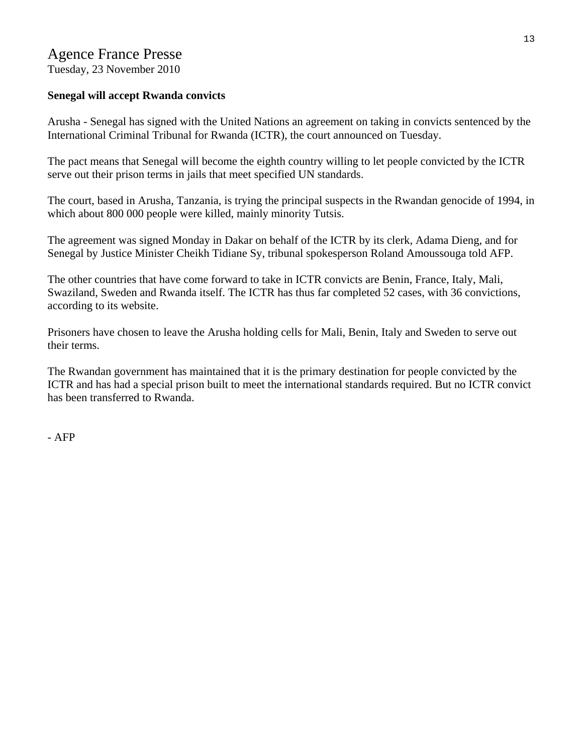#### Agence France Presse

Tuesday, 23 November 2010

#### **Senegal will accept Rwanda convicts**

Arusha - Senegal has signed with the United Nations an agreement on taking in convicts sentenced by the International Criminal Tribunal for Rwanda (ICTR), the court announced on Tuesday.

The pact means that Senegal will become the eighth country willing to let people convicted by the ICTR serve out their prison terms in jails that meet specified UN standards.

The court, based in Arusha, Tanzania, is trying the principal suspects in the Rwandan genocide of 1994, in which about 800 000 people were killed, mainly minority Tutsis.

The agreement was signed Monday in Dakar on behalf of the ICTR by its clerk, Adama Dieng, and for Senegal by Justice Minister Cheikh Tidiane Sy, tribunal spokesperson Roland Amoussouga told AFP.

The other countries that have come forward to take in ICTR convicts are Benin, France, Italy, Mali, Swaziland, Sweden and Rwanda itself. The ICTR has thus far completed 52 cases, with 36 convictions, according to its website.

Prisoners have chosen to leave the Arusha holding cells for Mali, Benin, Italy and Sweden to serve out their terms.

The Rwandan government has maintained that it is the primary destination for people convicted by the ICTR and has had a special prison built to meet the international standards required. But no ICTR convict has been transferred to Rwanda.

- AFP